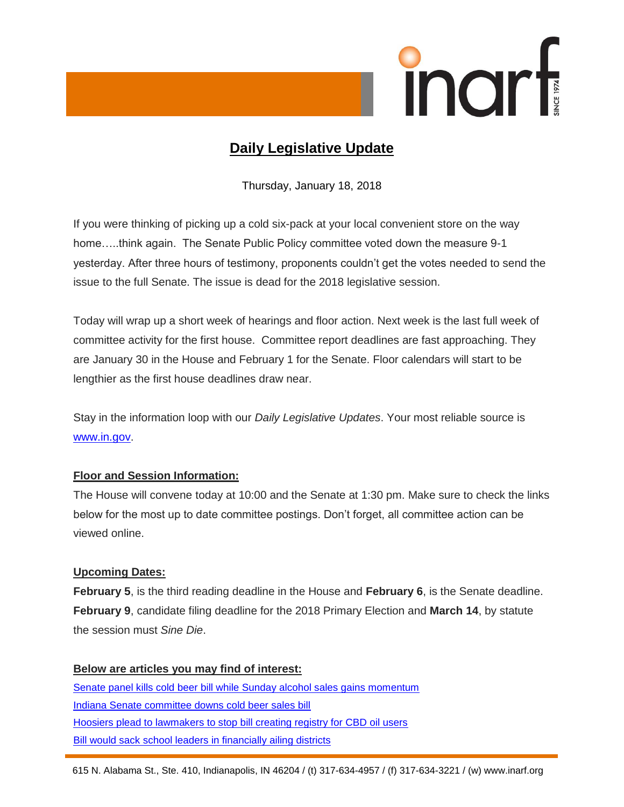

# **Daily Legislative Update**

Thursday, January 18, 2018

If you were thinking of picking up a cold six-pack at your local convenient store on the way home…..think again. The Senate Public Policy committee voted down the measure 9-1 yesterday. After three hours of testimony, proponents couldn't get the votes needed to send the issue to the full Senate. The issue is dead for the 2018 legislative session.

Today will wrap up a short week of hearings and floor action. Next week is the last full week of committee activity for the first house. Committee report deadlines are fast approaching. They are January 30 in the House and February 1 for the Senate. Floor calendars will start to be lengthier as the first house deadlines draw near.

Stay in the information loop with our *Daily Legislative Updates*. Your most reliable source is [www.in.gov.](http://www.in.gov/)

## **Floor and Session Information:**

The House will convene today at 10:00 and the Senate at 1:30 pm. Make sure to check the links below for the most up to date committee postings. Don't forget, all committee action can be viewed online.

## **Upcoming Dates:**

**February 5**, is the third reading deadline in the House and **February 6**, is the Senate deadline. **February 9**, candidate filing deadline for the 2018 Primary Election and **March 14**, by statute the session must *Sine Die*.

## **Below are articles you may find of interest:**

[Senate panel kills cold beer bill while Sunday alcohol sales gains momentum](https://www.indystar.com/story/news/2018/01/17/cold-beer-bill-killed-while-sunday-alcohol-sales-gains-momentum/1039812001/) [Indiana Senate committee downs cold beer sales bill](http://wishtv.com/2018/01/17/indiana-senate-committee-downs-cold-beer-sales-bill/) [Hoosiers plead to lawmakers to stop bill creating registry for CBD oil users](https://www.wthr.com/article/hoosiers-plead-to-lawmakers-to-stop-bill-creating-registry-for-cbd-oil-users) [Bill would sack school leaders in financially ailing districts](https://www.indystar.com/story/news/education/2018/01/17/house-bill-would-punish-financially-struggling-school-districts/1037564001/)